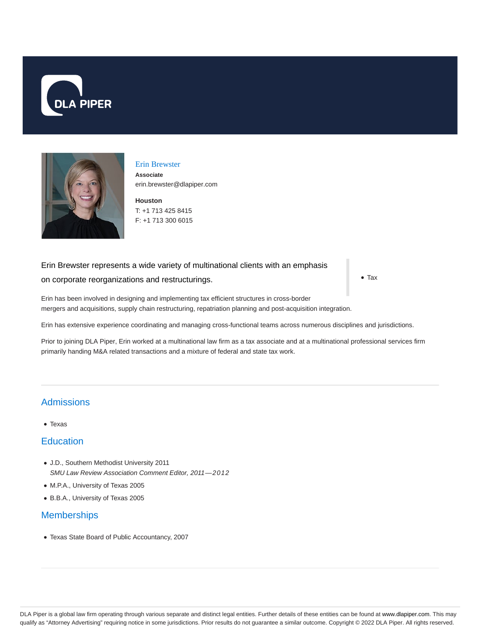



# Erin Brewster **Associate**

**Houston** erin.brewster@dlapiper.com

T: +1 713 425 8415 F: +1 713 300 6015

#### Erin Brewster represents a wide variety of multinational clients with an emphasis

#### on corporate reorganizations and restructurings.

• Tax

Erin has been involved in designing and implementing tax efficient structures in cross-border mergers and acquisitions, supply chain restructuring, repatriation planning and post-acquisition integration.

Erin has extensive experience coordinating and managing cross-functional teams across numerous disciplines and jurisdictions.

Prior to joining DLA Piper, Erin worked at a multinational law firm as a tax associate and at a multinational professional services firm primarily handing M&A related transactions and a mixture of federal and state tax work.

### **Admissions**

Texas

### **Education**

- J.D., Southern Methodist University 2011 SMU Law Review Association Comment Editor, 2011—2012
- M.P.A., University of Texas 2005
- B.B.A., University of Texas 2005

### **Memberships**

Texas State Board of Public Accountancy, 2007

DLA Piper is a global law firm operating through various separate and distinct legal entities. Further details of these entities can be found at www.dlapiper.com. This may qualify as "Attorney Advertising" requiring notice in some jurisdictions. Prior results do not guarantee a similar outcome. Copyright © 2022 DLA Piper. All rights reserved.